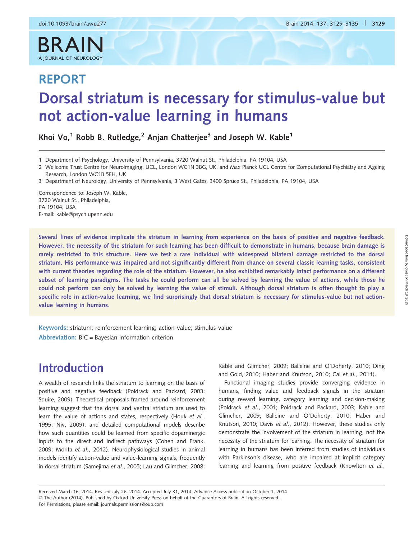$R$   $\Delta$ 

A JOURNAL OF NEUROLOGY

# REPORT Dorsal striatum is necessary for stimulus-value but not action-value learning in humans

Khoi Vo,<sup>1</sup> Robb B. Rutledge,<sup>2</sup> Anjan Chatterjee<sup>3</sup> and Joseph W. Kable<sup>1</sup>

Correspondence to: Joseph W. Kable, 3720 Walnut St., Philadelphia, PA 19104, USA E-mail: kable@psych.upenn.edu

Several lines of evidence implicate the striatum in learning from experience on the basis of positive and negative feedback. However, the necessity of the striatum for such learning has been difficult to demonstrate in humans, because brain damage is rarely restricted to this structure. Here we test a rare individual with widespread bilateral damage restricted to the dorsal striatum. His performance was impaired and not significantly different from chance on several classic learning tasks, consistent with current theories regarding the role of the striatum. However, he also exhibited remarkably intact performance on a different subset of learning paradigms. The tasks he could perform can all be solved by learning the value of actions, while those he could not perform can only be solved by learning the value of stimuli. Although dorsal striatum is often thought to play a specific role in action-value learning, we find surprisingly that dorsal striatum is necessary for stimulus-value but not actionvalue learning in humans.

Keywords: striatum; reinforcement learning; action-value; stimulus-value Abbreviation: BIC = Bayesian information criterion

# Introduction

A wealth of research links the striatum to learning on the basis of positive and negative feedback [\(Poldrack and Packard, 2003](#page-6-0); [Squire, 2009](#page-6-0)). Theoretical proposals framed around reinforcement learning suggest that the dorsal and ventral striatum are used to learn the value of actions and states, respectively (Houk [et al.](#page-6-0), [1995](#page-6-0); [Niv, 2009\)](#page-6-0), and detailed computational models describe how such quantities could be learned from specific dopaminergic inputs to the direct and indirect pathways ([Cohen and Frank,](#page-5-0) [2009](#page-5-0); Morita et al.[, 2012](#page-6-0)). Neurophysiological studies in animal models identify action-value and value-learning signals, frequently in dorsal striatum [\(Samejima](#page-6-0) et al., 2005; [Lau and Glimcher, 2008](#page-6-0); [Kable and Glimcher, 2009](#page-6-0); [Balleine and O'Doherty, 2010;](#page-5-0) [Ding](#page-6-0) [and Gold, 2010](#page-6-0); [Haber and Knutson, 2010;](#page-6-0) Cai et al.[, 2011\)](#page-5-0).

Functional imaging studies provide converging evidence in humans, finding value and feedback signals in the striatum during reward learning, category learning and decision-making [\(Poldrack](#page-6-0) et al., 2001; [Poldrack and Packard, 2003](#page-6-0); [Kable and](#page-6-0) [Glimcher, 2009;](#page-6-0) [Balleine and O'Doherty, 2010;](#page-5-0) [Haber and](#page-6-0) [Knutson, 2010](#page-6-0); Davis et al.[, 2012\)](#page-6-0). However, these studies only demonstrate the involvement of the striatum in learning, not the necessity of the striatum for learning. The necessity of striatum for learning in humans has been inferred from studies of individuals with Parkinson's disease, who are impaired at implicit category learning and learning from positive feedback [\(Knowlton](#page-6-0) et al.,

Received March 16, 2014. Revised July 26, 2014. Accepted July 31, 2014. Advance Access publication October 1, 2014 © The Author (2014). Published by Oxford University Press on behalf of the Guarantors of Brain. All rights reserved. For Permissions, please email: journals.permissions@oup.com

<sup>1</sup> Department of Psychology, University of Pennsylvania, 3720 Walnut St., Philadelphia, PA 19104, USA

<sup>2</sup> Wellcome Trust Centre for Neuroimaging, UCL, London WC1N 3BG, UK, and Max Planck UCL Centre for Computational Psychiatry and Ageing Research, London WC1B 5EH, UK

<sup>3</sup> Department of Neurology, University of Pennsylvania, 3 West Gates, 3400 Spruce St., Philadelphia, PA 19104, USA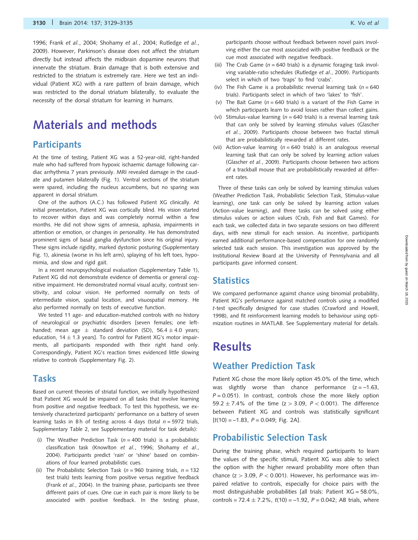[1996;](#page-6-0) Frank et al.[, 2004; Shohamy](#page-6-0) et al., 2004; [Rutledge](#page-6-0) et al., [2009\)](#page-6-0). However, Parkinson's disease does not affect the striatum directly but instead affects the midbrain dopamine neurons that innervate the striatum. Brain damage that is both extensive and restricted to the striatum is extremely rare. Here we test an individual (Patient XG) with a rare pattern of brain damage, which was restricted to the dorsal striatum bilaterally, to evaluate the necessity of the dorsal striatum for learning in humans.

### Materials and methods

#### **Participants**

At the time of testing, Patient XG was a 52-year-old, right-handed male who had suffered from hypoxic ischaemic damage following cardiac arrhythmia 7 years previously. MRI revealed damage in the caudate and putamen bilaterally ([Fig. 1\)](#page-2-0). Ventral sections of the striatum were spared, including the nucleus accumbens, but no sparing was apparent in dorsal striatum.

One of the authors (A.C.) has followed Patient XG clinically. At initial presentation, Patient XG was cortically blind. His vision started to recover within days and was completely normal within a few months. He did not show signs of amnesia, aphasia, impairments in attention or emotion, or changes in personality. He has demonstrated prominent signs of basal ganglia dysfunction since his original injury. These signs include rigidity, marked dystonic posturing ([Supplementary](http://brain.oxfordjournals.org/lookup/suppl/doi:10.1093/brain/awu277/-/DC1) [Fig. 1\)](http://brain.oxfordjournals.org/lookup/suppl/doi:10.1093/brain/awu277/-/DC1), akinesia (worse in his left arm), splaying of his left toes, hypomimia, and slow and rigid gait.

In a recent neuropsychological evaluation ([Supplementary Table 1](http://brain.oxfordjournals.org/lookup/suppl/doi:10.1093/brain/awu277/-/DC1)), Patient XG did not demonstrate evidence of dementia or general cognitive impairment. He demonstrated normal visual acuity, contrast sensitivity, and colour vision. He performed normally on tests of intermediate vision, spatial location, and visuospatial memory. He also performed normally on tests of executive function.

We tested 11 age- and education-matched controls with no history of neurological or psychiatric disorders [seven females; one lefthanded; mean age  $\pm$  standard deviation (SD), 56.4  $\pm$  4.0 years; education, 14  $\pm$  1.3 years]. To control for Patient XG's motor impairments, all participants responded with their right hand only. Correspondingly, Patient XG's reaction times evidenced little slowing relative to controls [\(Supplementary Fig. 2](http://brain.oxfordjournals.org/lookup/suppl/doi:10.1093/brain/awu277/-/DC1)).

#### Tasks

Based on current theories of striatal function, we initially hypothesized that Patient XG would be impaired on all tasks that involve learning from positive and negative feedback. To test this hypothesis, we extensively characterized participants' performance on a battery of seven learning tasks in 8 h of testing across 4 days (total  $n = 5972$  trials, [Supplementary Table 2,](http://brain.oxfordjournals.org/lookup/suppl/doi:10.1093/brain/awu277/-/DC1) see [Supplementary material](http://brain.oxfordjournals.org/lookup/suppl/doi:10.1093/brain/awu277/-/DC1) for task details):

- (i) The Weather Prediction Task ( $n = 400$  trials) is a probabilistic classification task ([Knowlton](#page-6-0) et al., 1996; [Shohamy](#page-6-0) et al., [2004](#page-6-0)). Participants predict 'rain' or 'shine' based on combinations of four learned probabilistic cues.
- (ii) The Probabilistic Selection Task ( $n = 960$  training trials,  $n = 132$ test trials) tests learning from positive versus negative feedback (Frank et al.[, 2004](#page-6-0)). In the training phase, participants see three different pairs of cues. One cue in each pair is more likely to be associated with positive feedback. In the testing phase,

participants choose without feedback between novel pairs involving either the cue most associated with positive feedback or the cue most associated with negative feedback.

- (iii) The Crab Game ( $n = 640$  trials) is a dynamic foraging task involving variable-ratio schedules ([Rutledge](#page-6-0) et al., 2009). Participants select in which of two 'traps' to find 'crabs'.
- (iv) The Fish Game is a probabilistic reversal learning task ( $n = 640$ trials). Participants select in which of two 'lakes' to 'fish'.
- (v) The Bait Game ( $n = 640$  trials) is a variant of the Fish Game in which participants learn to avoid losses rather than collect gains.
- (vi) Stimulus-value learning ( $n = 640$  trials) is a reversal learning task that can only be solved by learning stimulus values ([Glascher](#page-6-0) et al.[, 2009](#page-6-0)). Participants choose between two fractal stimuli that are probabilistically rewarded at different rates.
- (vii) Action-value learning ( $n = 640$  trials) is an analogous reversal learning task that can only be solved by learning action values [\(Glascher](#page-6-0) et al., 2009). Participants choose between two actions of a trackball mouse that are probabilistically rewarded at different rates.

Three of these tasks can only be solved by learning stimulus values (Weather Prediction Task, Probabilistic Selection Task, Stimulus-value learning), one task can only be solved by learning action values (Action-value learning), and three tasks can be solved using either stimulus values or action values (Crab, Fish and Bait Games). For each task, we collected data in two separate sessions on two different days, with new stimuli for each session. As incentive, participants earned additional performance-based compensation for one randomly selected task each session. This investigation was approved by the Institutional Review Board at the University of Pennsylvania and all participants gave informed consent.

#### **Statistics**

We compared performance against chance using binomial probability, Patient XG's performance against matched controls using a modified t-test specifically designed for case studies [\(Crawford and Howell,](#page-5-0) [1998\)](#page-5-0), and fit reinforcement learning models to behaviour using optimization routines in MATLAB. See [Supplementary material](http://brain.oxfordjournals.org/lookup/suppl/doi:10.1093/brain/awu277/-/DC1) for details.

### **Results**

### Weather Prediction Task

Patient XG chose the more likely option 45.0% of the time, which was slightly worse than chance performance  $(z = -1.63,$  $P = 0.051$ ). In contrast, controls chose the more likely option 59.2  $\pm$  7.4% of the time (z > 3.09, P < 0.001). The difference between Patient XG and controls was statistically significant  $[t(10) = -1.83, P = 0.049; Fig. 2A].$  $[t(10) = -1.83, P = 0.049; Fig. 2A].$  $[t(10) = -1.83, P = 0.049; Fig. 2A].$ 

### Probabilistic Selection Task

During the training phase, which required participants to learn the values of the specific stimuli, Patient XG was able to select the option with the higher reward probability more often than chance ( $z > 3.09$ ,  $P < 0.001$ ). However, his performance was impaired relative to controls, especially for choice pairs with the most distinguishable probabilities [all trials: Patient XG = 58.0%, controls = 72.4  $\pm$  7.2%,  $t(10)$  = -1.92, P = 0.042; AB trials, where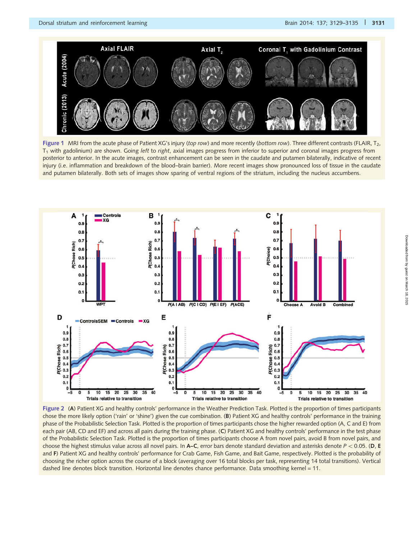<span id="page-2-0"></span>

Figure 1 MRI from the acute phase of Patient XG's injury (top row) and more recently (bottom row). Three different contrasts (FLAIR,  $T_2$ ,  $T_1$  with gadolinium) are shown. Going left to right, axial images progress from inferior to superior and coronal images progress from posterior to anterior. In the acute images, contrast enhancement can be seen in the caudate and putamen bilaterally, indicative of recent injury (i.e. inflammation and breakdown of the blood–brain barrier). More recent images show pronounced loss of tissue in the caudate and putamen bilaterally. Both sets of images show sparing of ventral regions of the striatum, including the nucleus accumbens.



Figure 2 (A) Patient XG and healthy controls' performance in the Weather Prediction Task. Plotted is the proportion of times participants chose the more likely option ('rain' or 'shine') given the cue combination. (B) Patient XG and healthy controls' performance in the training phase of the Probabilistic Selection Task. Plotted is the proportion of times participants chose the higher rewarded option (A, C and E) from each pair (AB, CD and EF) and across all pairs during the training phase. (C) Patient XG and healthy controls' performance in the test phase of the Probabilistic Selection Task. Plotted is the proportion of times participants choose A from novel pairs, avoid B from novel pairs, and choose the highest stimulus value across all novel pairs. In A–C, error bars denote standard deviation and asterisks denote  $P < 0.05$ . (D, E and F) Patient XG and healthy controls' performance for Crab Game, Fish Game, and Bait Game, respectively. Plotted is the probability of choosing the richer option across the course of a block (averaging over 16 total blocks per task, representing 14 total transitions). Vertical dashed line denotes block transition. Horizontal line denotes chance performance. Data smoothing kernel = 11.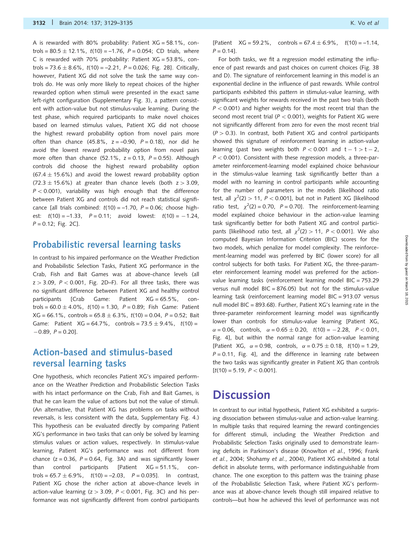A is rewarded with 80% probability: Patient  $XG = 58.1\%$ , controls = 80.5  $\pm$  12.1%, t(10) = –1.76, P = 0.054; CD trials, where C is rewarded with 70% probability: Patient  $XG = 53.8\%$ , controls = 73.6  $\pm$  8.6%, t(10) = –2.21, P = 0.026; [Fig. 2B](#page-2-0)]. Critically, however, Patient XG did not solve the task the same way controls do. He was only more likely to repeat choices of the higher rewarded option when stimuli were presented in the exact same left-right configuration [\(Supplementary Fig. 3\)](http://brain.oxfordjournals.org/lookup/suppl/doi:10.1093/brain/awu277/-/DC1), a pattern consistent with action-value but not stimulus-value learning. During the test phase, which required participants to make novel choices based on learned stimulus values, Patient XG did not choose the highest reward probability option from novel pairs more often than chance  $(45.8\%, z = -0.90, P = 0.18)$ , nor did he avoid the lowest reward probability option from novel pairs more often than chance (52.1%,  $z = 0.13$ ,  $P = 0.55$ ). Although controls did choose the highest reward probability option  $(67.4 \pm 15.6\%)$  and avoid the lowest reward probability option  $(72.3 \pm 15.6\%)$  at greater than chance levels (both  $z > 3.09$ ,  $P < 0.001$ ), variability was high enough that the difference between Patient XG and controls did not reach statistical significance [all trials combined:  $t(10) = -1.70$ ,  $P = 0.06$ ; choose highest:  $t(10) = -1.33$ ,  $P = 0.11$ ; avoid lowest:  $t(10) = -1.24$ ,  $P = 0.12$ ; [Fig. 2](#page-2-0)C].

#### Probabilistic reversal learning tasks

In contrast to his impaired performance on the Weather Prediction and Probabilistic Selection Tasks, Patient XG performance in the Crab, Fish and Bait Games was at above-chance levels (all  $z > 3.09$ ,  $P < 0.001$ , [Fig. 2](#page-2-0)D–F). For all three tasks, there was no significant difference between Patient XG and healthy control participants [Crab Game: Patient XG = 65.5%, controls = 60.0  $\pm$  4.0%, t(10) = 1.30, P = 0.89; Fish Game: Patient XG = 66.1%, controls = 65.8  $\pm$  6.3%, *t*(10) = 0.04, *P* = 0.52; Bait Game: Patient  $XG = 64.7\%$ , controls = 73.5  $\pm$  9.4%,  $t(10)$  =  $-0.89$ ,  $P = 0.20$ ].

### Action-based and stimulus-based reversal learning tasks

One hypothesis, which reconciles Patient XG's impaired performance on the Weather Prediction and Probabilistic Selection Tasks with his intact performance on the Crab, Fish and Bait Games, is that he can learn the value of actions but not the value of stimuli. (An alternative, that Patient XG has problems on tasks without reversals, is less consistent with the data, [Supplementary Fig. 4.](http://brain.oxfordjournals.org/lookup/suppl/doi:10.1093/brain/awu277/-/DC1)) This hypothesis can be evaluated directly by comparing Patient XG's performance in two tasks that can only be solved by learning stimulus values or action values, respectively. In stimulus-value learning, Patient XG's performance was not different from chance ( $z = 0.36$ ,  $P = 0.64$ , [Fig. 3](#page-4-0)A) and was significantly lower than control participants [Patient XG = 51.1%, con $t$ rols = 65.7  $\pm$  6.9%,  $t(10)$  = -2.03,  $P$  = 0.035]. In contrast, Patient XG chose the richer action at above-chance levels in action-value learning  $(z > 3.09, P < 0.001, Fig. 3C)$  $(z > 3.09, P < 0.001, Fig. 3C)$  $(z > 3.09, P < 0.001, Fig. 3C)$  and his performance was not significantly different from control participants

[Patient  $XG = 59.2\%$ , controls = 67.4  $\pm$  6.9%,  $t(10) = -1.14$ ,  $P = 0.14$ ].

For both tasks, we fit a regression model estimating the influence of past rewards and past choices on current choices [\(Fig. 3](#page-4-0)B and D). The signature of reinforcement learning in this model is an exponential decline in the influence of past rewards. While control participants exhibited this pattern in stimulus-value learning, with significant weights for rewards received in the past two trials (both  $P < 0.001$ ) and higher weights for the most recent trial than the second most recent trial ( $P < 0.001$ ), weights for Patient XG were not significantly different from zero for even the most recent trial  $(P > 0.3)$ . In contrast, both Patient XG and control participants showed this signature of reinforcement learning in action-value learning (past two weights both  $P < 0.001$  and  $t - 1 > t - 2$ ,  $P < 0.001$ ). Consistent with these regression models, a three-parameter reinforcement-learning model explained choice behaviour in the stimulus-value learning task significantly better than a model with no learning in control participants while accounting for the number of parameters in the models [likelihood ratio test, all  $\chi^2(2) > 11$ ,  $P < 0.001$ ], but not in Patient XG [likelihood ratio test,  $\chi^2(2) = 0.70$ ,  $P = 0.70$ ]. The reinforcement-learning model explained choice behaviour in the action-value learning task significantly better for both Patient XG and control participants [likelihood ratio test, all  $\chi^2(2) > 11$ ,  $P < 0.001$ ]. We also computed Bayesian Information Criterion (BIC) scores for the two models, which penalize for model complexity. The reinforcement-learning model was preferred by BIC (lower score) for all control subjects for both tasks. For Patient XG, the three-parameter reinforcement learning model was preferred for the actionvalue learning tasks (reinforcement learning model BIC = 753.29 versus null model BIC = 876.05) but not for the stimulus-value learning task (reinforcement learning model BIC = 913.07 versus null model BIC = 893.68). Further, Patient XG's learning rate in the three-parameter reinforcement learning model was significantly lower than controls for stimulus-value learning [Patient XG,  $\alpha$  = 0.06, controls,  $\alpha$  = 0.65  $\pm$  0.20, t(10) = -2.28, P < 0.01, [Fig. 4\]](#page-5-0), but within the normal range for action-value learning [Patient XG,  $\alpha = 0.98$ , controls,  $\alpha = 0.75 \pm 0.18$ ,  $t(10) = 1.29$ ,  $P = 0.11$ , [Fig. 4\]](#page-5-0), and the difference in learning rate between the two tasks was significantly greater in Patient XG than controls  $[t(10) = 5.19, P < 0.001].$ 

### **Discussion**

In contrast to our initial hypothesis, Patient XG exhibited a surprising dissociation between stimulus-value and action-value learning. In multiple tasks that required learning the reward contingencies for different stimuli, including the Weather Prediction and Probabilistic Selection Tasks originally used to demonstrate learn-ing deficits in Parkinson's disease ([Knowlton](#page-6-0) et al., 1996; [Frank](#page-6-0) et al.[, 2004](#page-6-0); [Shohamy](#page-6-0) et al., 2004), Patient XG exhibited a total deficit in absolute terms, with performance indistinguishable from chance. The one exception to this pattern was the training phase of the Probabilistic Selection Task, where Patient XG's performance was at above-chance levels though still impaired relative to controls—but how he achieved this level of performance was not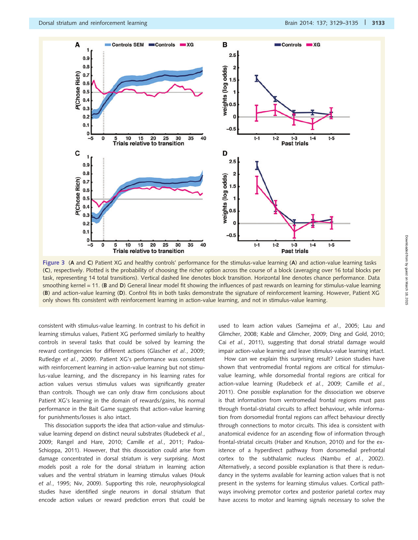<span id="page-4-0"></span>

Figure 3 (A and C) Patient XG and healthy controls' performance for the stimulus-value learning (A) and action-value learning tasks (C), respectively. Plotted is the probability of choosing the richer option across the course of a block (averaging over 16 total blocks per task, representing 14 total transitions). Vertical dashed line denotes block transition. Horizontal line denotes chance performance. Data smoothing kernel = 11. (B and D) General linear model fit showing the influences of past rewards on learning for stimulus-value learning (B) and action-value learning (D). Control fits in both tasks demonstrate the signature of reinforcement learning. However, Patient XG only shows fits consistent with reinforcement learning in action-value learning, and not in stimulus-value learning.

consistent with stimulus-value learning. In contrast to his deficit in learning stimulus values, Patient XG performed similarly to healthy controls in several tasks that could be solved by learning the reward contingencies for different actions [\(Glascher](#page-6-0) et al., 2009; [Rutledge](#page-6-0) et al., 2009). Patient XG's performance was consistent with reinforcement learning in action-value learning but not stimulus-value learning, and the discrepancy in his learning rates for action values versus stimulus values was significantly greater than controls. Though we can only draw firm conclusions about Patient XG's learning in the domain of rewards/gains, his normal performance in the Bait Game suggests that action-value learning for punishments/losses is also intact.

This dissociation supports the idea that action-value and stimulusvalue learning depend on distinct neural substrates [\(Rudebeck](#page-6-0) et al., [2009](#page-6-0); [Rangel and Hare, 2010](#page-6-0); Camille et al.[, 2011;](#page-5-0) [Padoa-](#page-6-0)[Schioppa, 2011](#page-6-0)). However, that this dissociation could arise from damage concentrated in dorsal striatum is very surprising. Most models posit a role for the dorsal striatum in learning action values and the ventral striatum in learning stimulus values [\(Houk](#page-6-0) et al.[, 1995; Niv, 2009\)](#page-6-0). Supporting this role, neurophysiological studies have identified single neurons in dorsal striatum that encode action values or reward prediction errors that could be used to learn action values ([Samejima](#page-6-0) et al., 2005; [Lau and](#page-6-0) [Glimcher, 2008](#page-6-0); [Kable and Glimcher, 2009](#page-6-0); [Ding and Gold, 2010](#page-6-0); Cai et al.[, 2011](#page-5-0)), suggesting that dorsal striatal damage would impair action-value learning and leave stimulus-value learning intact.

How can we explain this surprising result? Lesion studies have shown that ventromedial frontal regions are critical for stimulusvalue learning, while dorsomedial frontal regions are critical for action-value learning ([Rudebeck](#page-6-0) et al., 2009; [Camille](#page-5-0) et al., [2011](#page-5-0)). One possible explanation for the dissociation we observe is that information from ventromedial frontal regions must pass through frontal-striatal circuits to affect behaviour, while information from dorsomedial frontal regions can affect behaviour directly through connections to motor circuits. This idea is consistent with anatomical evidence for an ascending flow of information through frontal-striatal circuits ([Haber and Knutson, 2010\)](#page-6-0) and for the existence of a hyperdirect pathway from dorsomedial prefrontal cortex to the subthalamic nucleus (Nambu et al.[, 2002](#page-6-0)). Alternatively, a second possible explanation is that there is redundancy in the systems available for learning action values that is not present in the systems for learning stimulus values. Cortical pathways involving premotor cortex and posterior parietal cortex may have access to motor and learning signals necessary to solve the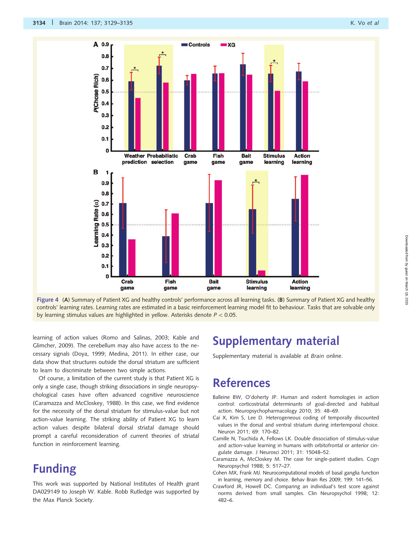<span id="page-5-0"></span>

Figure 4 (A) Summary of Patient XG and healthy controls' performance across all learning tasks. (B) Summary of Patient XG and healthy controls' learning rates. Learning rates are estimated in a basic reinforcement learning model fit to behaviour. Tasks that are solvable only by learning stimulus values are highlighted in yellow. Asterisks denote  $P < 0.05$ .

learning of action values [\(Romo and Salinas, 2003](#page-6-0); [Kable and](#page-6-0) [Glimcher, 2009\)](#page-6-0). The cerebellum may also have access to the necessary signals ([Doya, 1999](#page-6-0); [Medina, 2011\)](#page-6-0). In either case, our data show that structures outside the dorsal striatum are sufficient to learn to discriminate between two simple actions.

Of course, a limitation of the current study is that Patient XG is only a single case, though striking dissociations in single neuropsychological cases have often advanced cognitive neuroscience (Caramazza and McCloskey, 1988). In this case, we find evidence for the necessity of the dorsal striatum for stimulus-value but not action-value learning. The striking ability of Patient XG to learn action values despite bilateral dorsal striatal damage should prompt a careful reconsideration of current theories of striatal function in reinforcement learning.

# **Funding**

This work was supported by National Institutes of Health grant DA029149 to Joseph W. Kable. Robb Rutledge was supported by the Max Planck Society.

# Supplementary material

[Supplementary material](http://brain.oxfordjournals.org/lookup/suppl/doi:10.1093/brain/awu277/-/DC1) is available at Brain online.

# References

- Balleine BW, O'doherty JP. Human and rodent homologies in action control: corticostriatal determinants of goal-directed and habitual action. Neuropsychopharmacology 2010; 35: 48–69.
- Cai X, Kim S, Lee D. Heterogeneous coding of temporally discounted values in the dorsal and ventral striatum during intertemporal choice. Neuron 2011; 69: 170–82.
- Camille N, Tsuchida A, Fellows LK. Double dissociation of stimulus-value and action-value learning in humans with orbitofrontal or anterior cingulate damage. J Neurosci 2011; 31: 15048–52.
- Caramazza A, McCloskey M. The case for single-patient studies. Cogn Neuropsychol 1988; 5: 517–27.
- Cohen MX, Frank MJ. Neurocomputational models of basal ganglia function in learning, memory and choice. Behav Brain Res 2009; 199: 141–56.
- Crawford JR, Howell DC. Comparing an individual's test score against norms derived from small samples. Clin Neuropsychol 1998; 12: 482–6.